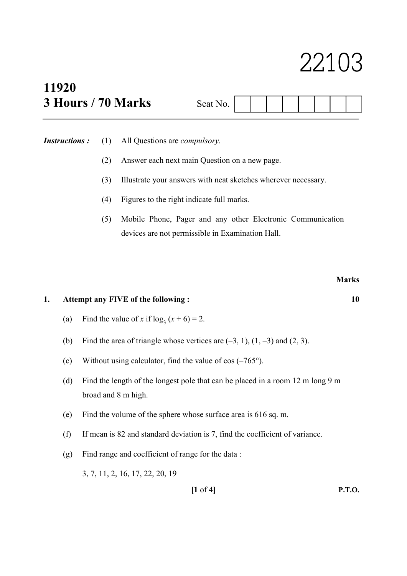# 22103

## 11920  $3$  Hours  $/ 70$  Marks

| Seat N |  |  |  |  |
|--------|--|--|--|--|

Instructions : (1) All Questions are *compulsory*.

- (2) Answer each next main Question on a new page.
- (3) Illustrate your answers with neat sketches wherever necessary.
- (4) Figures to the right indicate full marks.
- (5) Mobile Phone, Pager and any other Electronic Communication devices are not permissible in Examination Hall.

#### 1. Attempt any FIVE of the following : 10

- (a) Find the value of x if  $log_3(x+6) = 2$ .
	- (b) Find the area of triangle whose vertices are  $(-3, 1)$ ,  $(1, -3)$  and  $(2, 3)$ .
	- (c) Without using calculator, find the value of  $cos(-765^\circ)$ .
	- (d) Find the length of the longest pole that can be placed in a room 12 m long 9 m broad and 8 m high.
	- (e) Find the volume of the sphere whose surface area is 616 sq. m.
	- (f) If mean is 82 and standard deviation is 7, find the coefficient of variance.
	- (g) Find range and coefficient of range for the data :

3, 7, 11, 2, 16, 17, 22, 20, 19

[1 of 4] P.T.O.

### **Marks**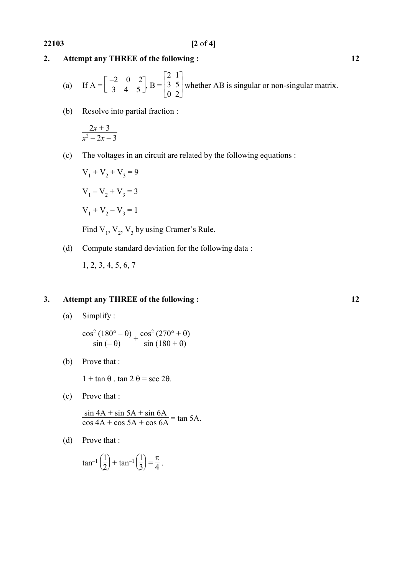### 2. Attempt any THREE of the following : 12

(a) If 
$$
A = \begin{bmatrix} -2 & 0 & 2 \\ 3 & 4 & 5 \end{bmatrix}
$$
,  $B = \begin{bmatrix} 2 & 1 \\ 3 & 5 \\ 0 & 2 \end{bmatrix}$  whether AB is singular or non-singular matrix.

(b) Resolve into partial fraction :

$$
\frac{2x+3}{x^2-2x-3}
$$

(c) The voltages in an circuit are related by the following equations :

$$
V_1 + V_2 + V_3 = 9
$$
  

$$
V_1 - V_2 + V_3 = 3
$$
  

$$
V_1 + V_2 - V_3 = 1
$$

Find  $V_1$ ,  $V_2$ ,  $V_3$  by using Cramer's Rule.

(d) Compute standard deviation for the following data :

1, 2, 3, 4, 5, 6, 7

### 3. Attempt any THREE of the following : 12

(a) Simplify :

$$
\frac{\cos^2\left(180^\circ - \theta\right)}{\sin\left(-\theta\right)} + \frac{\cos^2\left(270^\circ + \theta\right)}{\sin\left(180^\circ + \theta\right)}
$$

(b) Prove that :

 $1 + \tan \theta$ . tan  $2 \theta = \sec 2\theta$ .

(c) Prove that :

 $\sin 4A + \sin 5A + \sin 6A$  $\frac{\sin 4A + \sin 5A + \sin 6A}{\cos 4A + \cos 5A + \cos 6A} = \tan 5A.$ 

(d) Prove that :

$$
\tan^{-1}\left(\frac{1}{2}\right) + \tan^{-1}\left(\frac{1}{3}\right) = \frac{\pi}{4}.
$$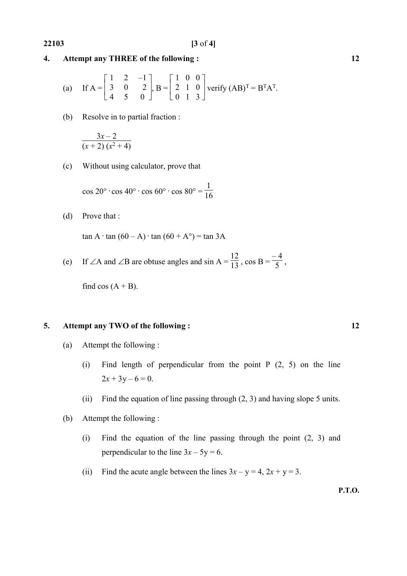#### 4. Attempt any THREE of the following : 12

(a) If 
$$
A = \begin{bmatrix} 1 & 2 & -1 \\ 3 & 0 & 2 \\ 4 & 5 & 0 \end{bmatrix}
$$
,  $B = \begin{bmatrix} 1 & 0 & 0 \\ 2 & 1 & 0 \\ 0 & 1 & 3 \end{bmatrix}$  verify  $(AB)^{T} = B^{T}A^{T}$ .

(b) Resolve in to partial fraction :

$$
\frac{3x-2}{\left(x+2\right)\left(x^2+4\right)}
$$

(c) Without using calculator, prove that

 $\cos 20^\circ \cdot \cos 40^\circ \cdot \cos 60^\circ \cdot \cos 80^\circ =$ 1  $\frac{1}{16}$ 

(d) Prove that :

 $\tan A \cdot \tan (60 - A) \cdot \tan (60 + A^{\circ}) = \tan 3A$ 

#### (e) If  $\angle A$  and  $\angle B$  are obtuse angles and sin  $A = \frac{12}{13}$ , cos  $B = \frac{12}{13}$ – 4  $\frac{1}{5}$ ,

find  $cos(A + B)$ .

#### 5. Attempt any TWO of the following : 12

- (a) Attempt the following :
	- (i) Find length of perpendicular from the point  $P(2, 5)$  on the line  $2x + 3y - 6 = 0.$
	- (ii) Find the equation of line passing through (2, 3) and having slope 5 units.
- (b) Attempt the following :
	- (i) Find the equation of the line passing through the point (2, 3) and perpendicular to the line  $3x - 5y = 6$ .
	- (ii) Find the acute angle between the lines  $3x y = 4$ ,  $2x + y = 3$ .